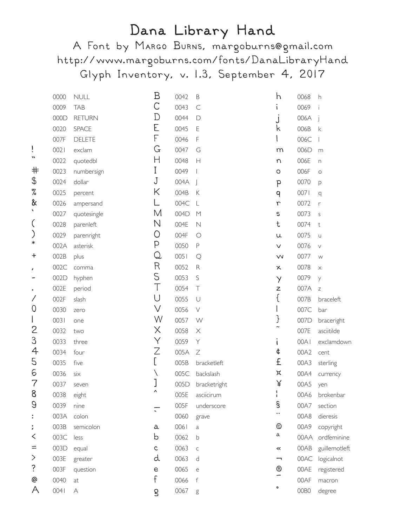## Dana Library Hand

A Font by MARGO BURNS, margoburns@gmail.com http://www.margoburns.com/fonts/DanaLibraryHand Glyph Inventory, v. 1.3, September 4, 2017

|                          | 0000 | <b>NULL</b>    | Β            | 0042 | $\mathsf B$  | h                             | 0068 | h              |
|--------------------------|------|----------------|--------------|------|--------------|-------------------------------|------|----------------|
|                          | 0009 | <b>TAB</b>     | С            | 0043 | $\subset$    | $\mathbf{I}$                  | 0069 |                |
|                          | 000D | <b>RETURN</b>  | D            | 0044 | $\Box$       |                               | 006A |                |
|                          | 0020 | <b>SPACE</b>   | E            | 0045 | $\mathsf E$  | k                             | 006B | $\mathsf k$    |
|                          | 007F | <b>DELETE</b>  | F            | 0046 | F            |                               | 006C |                |
| ï                        | 0021 | exclam         | G            | 0047 | G            | m                             | 006D | m              |
| w                        | 0022 | quotedbl       | Н            | 0048 | H            | n                             | 006E | n              |
| 井                        | 0023 | numbersign     | I            | 0049 |              | $\circ$                       | 006F | $\circ$        |
| \$                       | 0024 | dollar         | J            | 004A |              | P                             | 0070 | p              |
| %                        | 0025 | percent        | Κ            | 004B | $\mathsf K$  | 9                             | 0071 | q              |
| &                        | 0026 | ampersand      |              | 004C | $\lfloor$    | $\Gamma$                      | 0072 | r              |
| ١                        | 0027 | quotesingle    | Μ            | 004D | M            | $\mathbb S$                   | 0073 | $\mathsf S$    |
| (                        | 0028 | parenleft      | Ν            | 004E | $\mathbb N$  | t                             | 0074 | $^\mathrm{t}$  |
| )                        | 0029 | parenright     | O            | 004F | $\bigcirc$   | u                             | 0075 | $\cup$         |
| ∗                        | 002A | asterisk       | P            | 0050 | $\mathsf P$  | V                             | 0076 | $\vee$         |
| $\ddot{}$                | 002B | plus           | Q            | 0051 | $\mathsf{Q}$ | $\boldsymbol{\vee\!\!\!\vee}$ | 0077 | W              |
| $\pmb{r}$                | 002C | comma          | R            | 0052 | ${\sf R}$    | $\times$                      | 0078 | $\times$       |
|                          | 002D | hyphen         | S            | 0053 | $\mathsf S$  | $\lambda$                     | 0079 | y              |
| $\bullet$                | 002E | period         | $\top$       | 0054 | $\top$       | Z                             | 007A | $\overline{Z}$ |
| Γ                        | 002F | slash          | U            | 0055 | $\cup$       | {                             | 007B | braceleft      |
| $\overline{O}$           | 0030 | zero           | $\vee$       | 0056 | $\vee$       |                               | 007C | bar            |
| $\overline{\phantom{a}}$ | 0031 | one            | W            | 0057 | W            | }                             | 007D | braceright     |
| $\mathsf{S}$             | 0032 | two            | X            | 0058 | X            | $\tilde{\phantom{a}}$         | 007E | asciitilde     |
| 3                        | 0033 | three          | Υ            | 0059 | Y            | t                             | 00A1 | exclamdown     |
| 4                        | 0034 | four           | Ζ            | 005A | $\mathbb Z$  | ¢                             | 00A2 | cent           |
| 5                        | 0035 | five           | L            | 005B | bracketleft  | £                             | 00A3 | sterling       |
| 6                        | 0036 | $s$ i $\times$ |              | 005C | backslash    | ×                             | 00A4 | currency       |
| 7                        | 0037 | seven          |              | 005D | bracketright | ¥                             | 00A5 | yen            |
| 8                        | 0038 | eight          | Λ            | 005E | asciicirum   | $\mathbf{I}$                  | 00A6 | brokenbar      |
| 9                        | 0039 | nine           |              | 005F | underscore   | §                             | 00A7 | section        |
| $\ddot{\cdot}$           | 003A | colon          |              | 0060 | grave        | $\ddot{\phantom{0}}$          | 00A8 | dieresis       |
| $\ddot{\phantom{0}}$     | 003B | semicolon      | а            | 0061 | a            | ◎                             | 00A9 | copyright      |
| K                        | 003C | less           | b            | 0062 | b            | a                             | 00AA | ordfeminine    |
| =                        | 003D | equal          | $\mathsf{C}$ | 0063 | $\mathsf C$  | $\ll$                         | 00AB | guillemotleft  |
| $\,>\,$                  | 003E | greater        | d            | 0063 | d            | ⇁                             | 00AC | logicalnot     |
| ?                        | 003F | question       | е            | 0065 | e            | ®                             | 00AE | registered     |
| @                        | 0040 | at             | f            | 0066 | $\mathsf{f}$ |                               | 00AF | macron         |
| A                        | 0041 | A              | g            | 0067 | $\mathsf g$  | ۰                             | 00BO | degree         |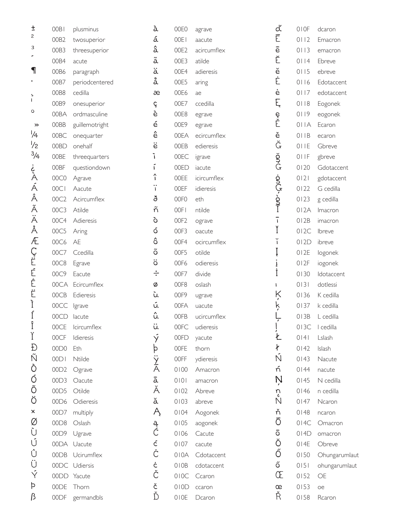| Ŧ              | 00B1        | plusminus        | à                  | 00E0             | agrave      | ď              | 010F   | dcaron        |
|----------------|-------------|------------------|--------------------|------------------|-------------|----------------|--------|---------------|
| $\overline{c}$ | 00B2        | twosuperior      | á                  | 00EI             | aacute      | Ē              | $0112$ | Emacron       |
| 3              | OOB3        | threesuperior    | â                  | OOE2             | acircumflex | $\overline{e}$ | 0113   | emacron       |
|                | 00B4        | acute            | $\tilde{\text{a}}$ | OOE3             | atilde      | Ĕ              | 0114   | Ebreve        |
| ٦              | 00B6        | paragraph        | ä                  | 00E4             | adieresis   | ĕ              | 0115   | ebreve        |
| $\bullet$      | 00B7        | periodcentered   | å                  | 00E5             | aring       | Ė              | 0116   | Edotaccent    |
| Ь              | OOB8        | cedilla          | æ                  | 00E6             | ae          | ė              | 0117   | edotaccent    |
| T              | 00B9        | onesuperior      | ç                  | 00E7             | ccedilla    | Ę              | 0118   | Eogonek       |
| $\circ$        | 00BA        | ordmasculine     | è                  | 00E8             | egrave      |                | 0119   | eogonek       |
| ≫              | 00BB        | guillemotright   | é                  | 00E9             | egrave      | e<br>Č         | 011A   | Ecaron        |
| 1/4            | 00BC        | onequarter       | ê                  | 00EA             | ecircumflex | ě              | OIIB   | ecaron        |
| $\frac{1}{2}$  | 00BD        | onehalf          | ë                  | <b>OOEB</b>      | edieresis   | Ğ              | OIIE   | Gbreve        |
| $\frac{3}{4}$  | <b>OOBE</b> | threequarters    | ì                  | 00EC             | igrave      | ğ<br>G         | 011F   | gbreve        |
| ¿<br>À         | 00BF        | questiondown     | í                  | 00ED             | iacute      |                | 0120   | Gdotaccent    |
|                | 00C0        | Agrave           | $\hat{\mathbf{I}}$ | <b>OOEE</b>      | icircumflex |                | 0 2    | gdotaccent    |
| Á              | 00Cl        | Aacute           | $\mathbf{I}$       | <b>OOEF</b>      | idieresis   | -onch-onl-     | 0122   | G cedilla     |
| Â              | 00C2        | Acircumflex      | ð                  | 00FO             | eth         |                | 0123   | g cedilla     |
| Ã              | 00C3        | Atilde           | ñ                  | 00FI             | ntilde      |                | 012A   | Imacron       |
| Ä              | 00C4        | Adieresis        | ò                  | OOF <sub>2</sub> | ograve      | $\overline{1}$ | 012B   | imacron       |
| Å              | 00C5        | Aring            | ó                  | OOF3             | oacute      | Ĭ              | 012C   | Ibreve        |
| Æ              | 00C6        | AE               | $\hat{\mathbf{o}}$ | 00F4             | ocircumflex | ĭ              | 012D   | ibreve        |
| Crimeric       | 00C7        | Ccedilla         | $\tilde{\text{o}}$ | OOF5             | otilde      | Į              | 012E   | logonek       |
|                | 00C8        | Egrave           | ö                  | 00F6             | odieresis   | Į              | 012F   | iogonek       |
|                | 00C9        | Eacute           | $\div$             | 00F7             | divide      | İ              | 0130   | Idotaccent    |
|                |             | 00CA Ecircumflex | Ø                  | OOF8             | oslash      | $\mathbf{I}$   | 0131   | dotlessi      |
| Ë              | 00CB        | Edieresis        | ù                  | 00F9             | ugrave      | Ķ              | 0136   | K cedilla     |
| Ì              | 00CC        | Igrave           | ú                  | 00FA             | uacute      | ķ              | 0137   | k cedilla     |
| Í<br>÷         | 00CD        | lacute           | û                  | <b>OOFB</b>      | ucircumflex |                | 013B   | L cedilla     |
| $\mathbf{I}$   | 00CE        | Icircumflex      | ü                  | 00FC             | udieresis   |                | 013C   | I cedilla     |
| Ϊ              | 00CF        | Idieresis        | Ý                  | 00FD             | yacute      | Ł              | 0141   | Lslash        |
| Ð              | 00D0        | Eth              | þ                  | 00FE             | thorn       | ł              | 0142   | Islash        |
| Ñ              | 00D         | Ntilde           | $\frac{3}{2}$      | <b>OOFF</b>      | ydieresis   | Ñ              | 0143   | Nacute        |
| Ò              | 00D2        | Ograve           |                    | 0100             | Amacron     | ń              | 0144   | nacute        |
| Ó              | 00D3        | Oacute           | ā                  | $0101$           | amacron     | Ņ              | 0145   | N cedilla     |
| Õ              | 00D5        | Otilde           | Ă                  | 0102             | Abreve      | r)             | 0146   | n cedilla     |
| Ö              | 00D6        | Odieresis        | ă                  | 0103             | abreve      | N              | 0147   | Ncaron        |
| $\pmb{\times}$ | 00D7        | multiply         | Ą                  | 0104             | Aogonek     | ň              | 0148   | ncaron        |
| Ø              | 00D8        | Oslash           | ą                  | 0105             | aogonek     | Ō              | 014C   | Omacron       |
| Ù              | 00D9        | Ugrave           | Ć                  | 0106             | Cacute      | ō              | 014D   | omacron       |
| Ú              |             | 00DA Uacute      | ć                  | 0107             | cacute      | Ŏ              | 014E   | Obreve        |
| Û              |             | 00DB Ucirumflex  | Ċ                  | 010A             | Cdotaccent  | Ő              | 0150   | Ohungarumlaut |
| Ü              |             | 00DC Udiersis    | ċ                  | 010B             | cdotaccent  | ő              | 0151   | ohungarumlaut |
| Ý              |             | 00DD Yacute      | Č                  | 010C             | Ccaron      | Œ              | 0152   | OE            |
| Þ              | 00DE        | Thorn            | č                  | 010D             | ccaron      | œ              | 0153   | oe            |
| β              | 00DF        | germandbls       | Ď                  | OIOE             | Dcaron      | Ř              | 0158   | Rcaron        |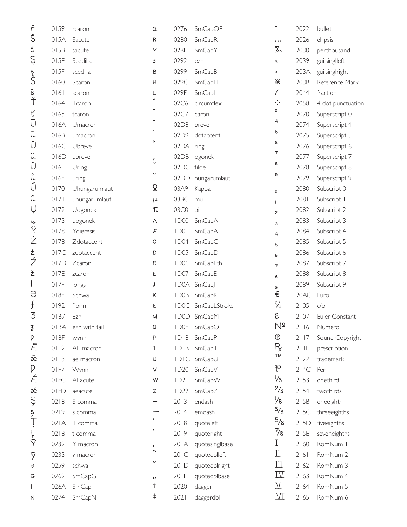| ŕ                    | 0159     | rcaron        | Œ                     | 0276             | SmCapOE           |                          | 2022 | bullet            |
|----------------------|----------|---------------|-----------------------|------------------|-------------------|--------------------------|------|-------------------|
| Ś                    | 015A     | Sacute        | R                     | 0280             | SmCapR            | $\cdots$                 | 2026 | ellipsis          |
| ś                    | 015B     | sacute        | Υ                     | 028F             | SmCapY            | $\%$                     | 2030 | perthousand       |
| Ş                    | 015E     | Scedilla      | 3                     | 0292             | ezh               | $\hat{\phantom{a}}$      | 2039 | guilsinglleft     |
|                      | 015F     | scedilla      | B                     | 0299             | SmCapB            | $\,$                     | 203A | guilsinglright    |
| S<br>S               | 0160     | Scaron        | Н                     | 029C             | SmCapH            | ፠                        | 203B | Reference Mark    |
| $\check{\mathsf{s}}$ | 0161     | scaron        | L                     | 029F             | SmCapL            | Γ                        | 2044 | fraction          |
| Ť                    | 0164     | Tcaron        | Λ                     | 02C6             | circumflex        | $\cdot$ :                | 2058 | 4-dot punctuation |
| ť                    | 0165     | tcaron        |                       | 02C7             | caron             | 0                        | 2070 | Superscript 0     |
| Ū                    | 016A     | Umacron       |                       | 02D8             | breve             | 4                        | 2074 | Superscript 4     |
| u                    | 016B     | umacron       |                       | 02D9             | dotaccent         | 5                        | 2075 | Superscript 5     |
| Ŭ                    | 016C     | Ubreve        | $\mathsf{o}$          | 02DA             | ring              | 6                        | 2076 | Superscript 6     |
| ŭ                    | 016D     | ubreve        | $\epsilon$            | 02DB             | ogonek            | 7                        | 2077 | Superscript 7     |
| Ů                    | 016E     | Uring         | $\tilde{\phantom{a}}$ | 02DC             | tilde             | 8                        | 2078 | Superscript 8     |
| ۰<br>Ù.              | 016F     | uring         | $\prime\prime$        | 02DD             | hungarumlaut      | 9                        | 2079 | Superscript 9     |
| Ű                    | 0170     | Uhungarumlaut | Ω                     | 03A9             | Kappa             | $\mathsf 0$              | 2080 | Subscript 0       |
| ű                    | 0171     | uhungarumlaut | μ                     | 03BC             | mu                | T                        | 2081 | Subscript I       |
| Ų                    | 0172     | Uogonek       | π                     | 03C0             | pi                | $\overline{c}$           | 2082 | Subscript 2       |
|                      | 0173     | uogonek       | A                     | ID00             | SmCapA            | 3                        | 2083 | Subscript 3       |
| ىيە<br>Y             | 0178     | Ydieresis     | Æ                     | DO               | SmCapAE           | $\overline{4}$           | 2084 | Subscript 4       |
| Ż                    | 017B     | Zdotaccent    | C                     | ID04             | SmCapC            | 5                        | 2085 | Subscript 5       |
|                      | 017C     | zdotaccent    | D                     | ID <sub>05</sub> | SmCapD            | 6                        | 2086 | Subscript 6       |
| ż<br>Ž               | 017D     | Zcaron        | Ð                     | <b>ID06</b>      | SmCapEth          | $\overline{7}$           | 2087 | Subscript 7       |
| ž                    | 017E     | zcaron        | E                     | ID07             | SmCapE            | 8                        | 2088 | Subscript 8       |
| ſ                    | 017F     | longs         | J                     |                  | ID0A SmCapJ       | 9                        | 2089 | Subscript 9       |
| Э                    | 018F     | Schwa         | Κ                     | <b>IDOB</b>      | SmCapK            | €                        | 20AC | Euro              |
| $\mathfrak f$        | 0192     | florin        | Ł                     |                  | ID0C SmCapLStroke | ℅                        | 2105 | C/O               |
| 3                    | 01B7     | Ezh           | M                     |                  | ID0D SmCapM       | ε                        | 2107 | Euler Constant    |
| ξ                    | 01BA     | ezh with tail | O                     | <b>IDOF</b>      | SmCapO            | $N_{\overline{o}}$       | 2116 | Numero            |
| $\mathsf{p}% _{T}$   | 01BF     | wynn          | P                     | ID18             | SmCapP            | $^\copyright$            | 2117 | Sound Copyright   |
| Ē                    | $0$   E2 | AE macron     | Τ                     | IDIB             | SmCapT            | $R_{x}$                  | 211E | prescription      |
| æ                    | 0IE3     | ae macron     | U                     | IDIC             | SmCapU            | TM                       | 2122 | trademark         |
| D                    | 01F7     | Wynn          | $\vee$                | <b>ID20</b>      | SmCapV            | ⅌                        | 214C | Per               |
| Æ                    | 01FC     | AEacute       | ${\sf W}$             | D2               | SmCapW            | $\frac{1}{3}$            | 2153 | onethird          |
| æ                    | 01FD     | aeacute       | Ζ                     | ID22             | SmCapZ            | $\frac{2}{3}$            | 2154 | twothirds         |
| Ş                    | 0218     | S comma       |                       | 2013             | endash            | $\frac{1}{8}$            | 215B | oneeighth         |
|                      | 0219     | s comma       |                       | 2014             | emdash            | $\frac{3}{8}$            | 215C | threeeighths      |
| $\int \frac{5}{1}$   | 021A     | T comma       | $\blacktriangledown$  | 2018             | quoteleft         | $\frac{5}{8}$            | 215D | fiveeighths       |
| t<br>Y               | 021B     | t comma       | {                     | 2019             | quoteright        | $\frac{7}{8}$            | 215E | seveneighths      |
|                      | 0232     | Y macron      | $\pmb{\prime}$        | 20IA             | quotesinglbase    | Ι                        | 2160 | RomNum I          |
| ŷ                    | 0233     | y macron      | $\blacktriangleright$ | 20IC             | quotedblleft      | П                        | 2 6  | RomNum 2          |
| $\Theta$             | 0259     | schwa         | "                     | 201D             | quotedblright     | $\mathbb{I}$             | 2162 | RomNum 3          |
| G                    | 0262     | SmCapG        | $\prime\prime$        | 201E             | quotedblbase      | $\mathbb{\underline{W}}$ | 2163 | RomNum 4          |
| I                    | 026A     | SmCapl        | t                     | 2020             | dagger            | $\overline{\Lambda}$     | 2164 | RomNum 5          |
| N                    | 0274     | SmCapN        | ŧ                     | 2021             | daggerdbl         | $\mathbf{V}$             | 2165 | RomNum 6          |
|                      |          |               |                       |                  |                   |                          |      |                   |